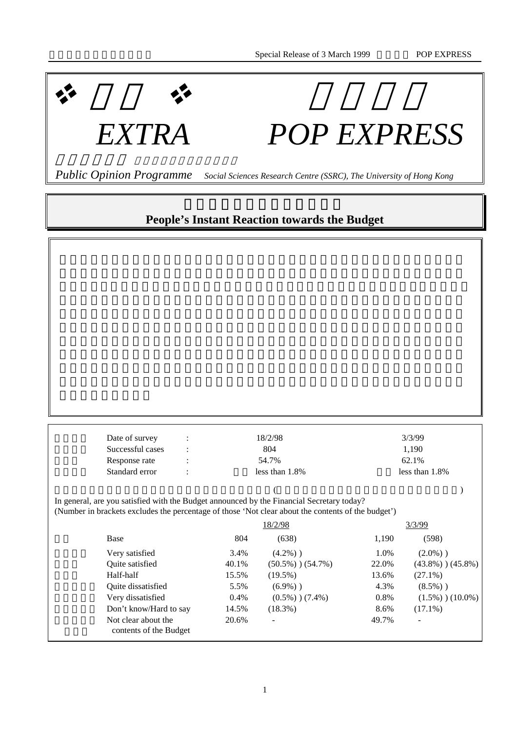

## *EXTRA POP EXPRESS*

 *Public Opinion Programme Social Sciences Research Centre (SSRC), The University of Hong Kong*

## **People's Instant Reaction towards the Budget**

| Date of survey                                                                                     |         | 18/2/98                 |                | 3/3/99                  |  |
|----------------------------------------------------------------------------------------------------|---------|-------------------------|----------------|-------------------------|--|
| Successful cases                                                                                   |         | 804                     |                | 1,190                   |  |
| Response rate                                                                                      |         | 54.7%                   |                | 62.1%                   |  |
| Standard error                                                                                     |         | less than $1.8\%$       | less than 1.8% |                         |  |
|                                                                                                    |         |                         |                |                         |  |
| In general, are you satisfied with the Budget announced by the Financial Secretary today?          |         |                         |                |                         |  |
| (Number in brackets excludes the percentage of those 'Not clear about the contents of the budget') |         |                         |                |                         |  |
|                                                                                                    |         | 18/2/98                 |                | 3/3/99                  |  |
| Base                                                                                               | 804     | (638)                   | 1,190          | (598)                   |  |
| Very satisfied                                                                                     | 3.4%    | $(4.2\%)$ )             | 1.0%           | $(2.0\%)$ )             |  |
| Quite satisfied                                                                                    | 40.1%   | $(50.5\%)$ ) $(54.7\%)$ | 22.0%          | $(43.8\%)$ ) $(45.8\%)$ |  |
| Half-half                                                                                          | 15.5%   | $(19.5\%)$              | 13.6%          | $(27.1\%)$              |  |
| Quite dissatisfied                                                                                 | 5.5%    | $(6.9\%)$ )             | 4.3%           | $(8.5%)$ )              |  |
| Very dissatisfied                                                                                  | $0.4\%$ | $(0.5\%)$ ) $(7.4\%)$   | $0.8\%$        | $(1.5\%)$ ) $(10.0\%)$  |  |
| Don't know/Hard to say                                                                             | 14.5%   | $(18.3\%)$              | 8.6%           | $(17.1\%)$              |  |
| Not clear about the<br>contents of the Budget                                                      | 20.6%   |                         | 49.7%          |                         |  |
|                                                                                                    |         |                         |                |                         |  |